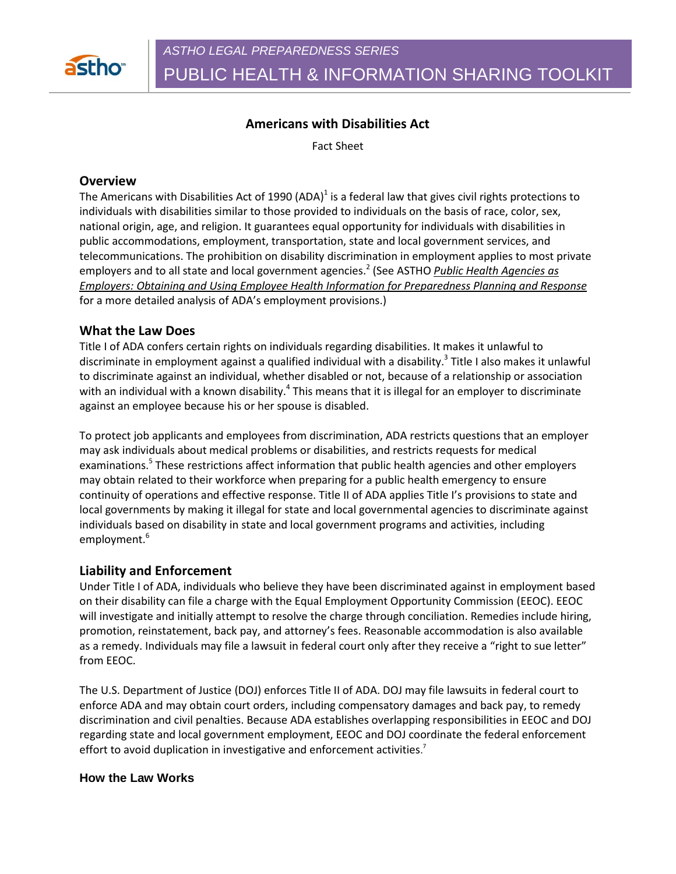

PUBLIC HEALTH & INFORMATION SHARING TOOLKIT

# **Americans with Disabilities Act**

Fact Sheet

### **Overview**

The Americans with Disabilities Act of 1990 (ADA)<sup>1</sup> is a federal law that gives civil rights protections to individuals with disabilities similar to those provided to individuals on the basis of race, color, sex, national origin, age, and religion. It guarantees equal opportunity for individuals with disabilities in public accommodations, employment, transportation, state and local government services, and telecommunications. The prohibition on disability discrimination in employment applies to most private employers and to all state and local government agencies.<sup>2</sup> (See ASTHO *Public Health Agencies as Employers: Obtaining and Using Employee Health Information for Preparedness Planning and Response* for a more detailed analysis of ADA's employment provisions.)

## **What the Law Does**

Title I of ADA confers certain rights on individuals regarding disabilities. It makes it unlawful to discriminate in employment against a qualified individual with a disability.<sup>3</sup> Title I also makes it unlawful to discriminate against an individual, whether disabled or not, because of a relationship or association with an individual with a known disability.<sup>4</sup> This means that it is illegal for an employer to discriminate against an employee because his or her spouse is disabled.

To protect job applicants and employees from discrimination, ADA restricts questions that an employer may ask individuals about medical problems or disabilities, and restricts requests for medical examinations.<sup>5</sup> These restrictions affect information that public health agencies and other employers may obtain related to their workforce when preparing for a public health emergency to ensure continuity of operations and effective response. Title II of ADA applies Title I's provisions to state and local governments by making it illegal for state and local governmental agencies to discriminate against individuals based on disability in state and local government programs and activities, including employment.<sup>6</sup>

# **Liability and Enforcement**

Under Title I of ADA, individuals who believe they have been discriminated against in employment based on their disability can file a charge with the Equal Employment Opportunity Commission (EEOC). EEOC will investigate and initially attempt to resolve the charge through conciliation. Remedies include hiring, promotion, reinstatement, back pay, and attorney's fees. Reasonable accommodation is also available as a remedy. Individuals may file a lawsuit in federal court only after they receive a "right to sue letter" from EEOC.

The U.S. Department of Justice (DOJ) enforces Title II of ADA. DOJ may file lawsuits in federal court to enforce ADA and may obtain court orders, including compensatory damages and back pay, to remedy discrimination and civil penalties. Because ADA establishes overlapping responsibilities in EEOC and DOJ regarding state and local government employment, EEOC and DOJ coordinate the federal enforcement effort to avoid duplication in investigative and enforcement activities.<sup>7</sup>

#### **How the Law Works**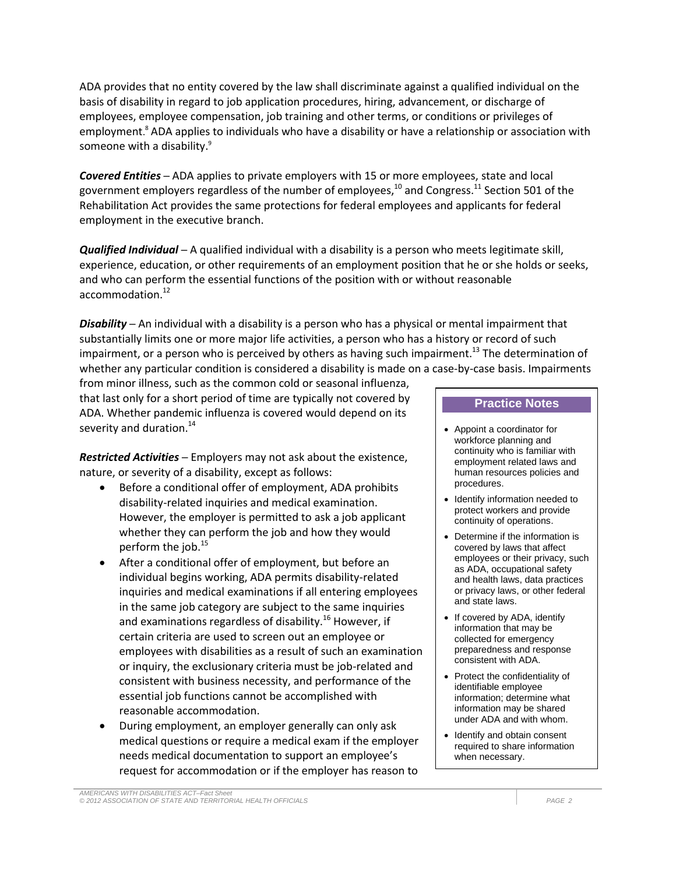ADA provides that no entity covered by the law shall discriminate against a qualified individual on the basis of disability in regard to job application procedures, hiring, advancement, or discharge of employees, employee compensation, job training and other terms, or conditions or privileges of employment. <sup>8</sup> ADA applies to individuals who have a disability or have a relationship or association with someone with a disability.<sup>9</sup>

*Covered Entities* ─ ADA applies to private employers with 15 or more employees, state and local government employers regardless of the number of employees, $^{10}$  and Congress. $^{11}$  Section 501 of the Rehabilitation Act provides the same protections for federal employees and applicants for federal employment in the executive branch.

*Qualified Individual* ─ A qualified individual with a disability is a person who meets legitimate skill, experience, education, or other requirements of an employment position that he or she holds or seeks, and who can perform the essential functions of the position with or without reasonable accommodation.<sup>12</sup>

*Disability* ─ An individual with a disability is a person who has a physical or mental impairment that substantially limits one or more major life activities, a person who has a history or record of such impairment, or a person who is perceived by others as having such impairment.<sup>13</sup> The determination of whether any particular condition is considered a disability is made on a case-by-case basis. Impairments

from minor illness, such as the common cold or seasonal influenza, that last only for a short period of time are typically not covered by ADA. Whether pandemic influenza is covered would depend on its severity and duration. $14$ 

*Restricted Activities* ─ Employers may not ask about the existence, nature, or severity of a disability, except as follows:

- Before a conditional offer of employment, ADA prohibits disability-related inquiries and medical examination. However, the employer is permitted to ask a job applicant whether they can perform the job and how they would perform the job. 15
- After a conditional offer of employment, but before an individual begins working, ADA permits disability-related inquiries and medical examinations if all entering employees in the same job category are subject to the same inquiries and examinations regardless of disability.<sup>16</sup> However, if certain criteria are used to screen out an employee or employees with disabilities as a result of such an examination or inquiry, the exclusionary criteria must be job-related and consistent with business necessity, and performance of the essential job functions cannot be accomplished with reasonable accommodation.
- During employment, an employer generally can only ask medical questions or require a medical exam if the employer needs medical documentation to support an employee's request for accommodation or if the employer has reason to

#### **Practice Notes**

- Appoint a coordinator for workforce planning and continuity who is familiar with employment related laws and human resources policies and procedures.
- Identify information needed to protect workers and provide continuity of operations.
- Determine if the information is covered by laws that affect employees or their privacy, such as ADA, occupational safety and health laws, data practices or privacy laws, or other federal and state laws.
- If covered by ADA, identify information that may be collected for emergency preparedness and response consistent with ADA.
- Protect the confidentiality of identifiable employee information; determine what information may be shared under ADA and with whom.
- Identify and obtain consent required to share information when necessary.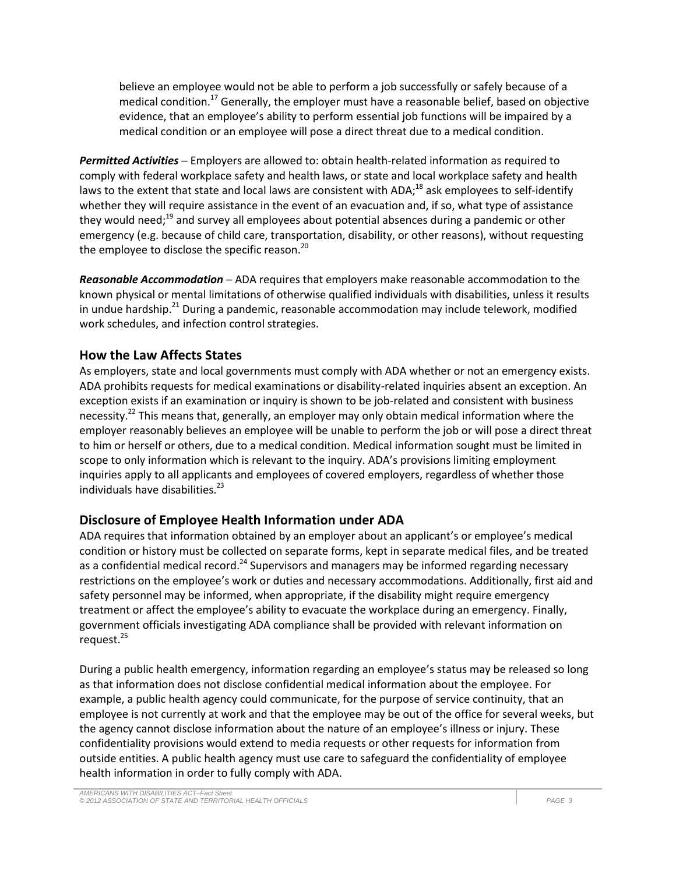believe an employee would not be able to perform a job successfully or safely because of a medical condition.<sup>17</sup> Generally, the employer must have a reasonable belief, based on objective evidence, that an employee's ability to perform essential job functions will be impaired by a medical condition or an employee will pose a direct threat due to a medical condition.

*Permitted Activities* ─ Employers are allowed to: obtain health-related information as required to comply with federal workplace safety and health laws, or state and local workplace safety and health laws to the extent that state and local laws are consistent with ADA;<sup>18</sup> ask employees to self-identify whether they will require assistance in the event of an evacuation and, if so, what type of assistance they would need;<sup>19</sup> and survey all employees about potential absences during a pandemic or other emergency (e.g. because of child care, transportation, disability, or other reasons), without requesting the employee to disclose the specific reason.<sup>20</sup>

*Reasonable Accommodation* ─ ADA requires that employers make reasonable accommodation to the known physical or mental limitations of otherwise qualified individuals with disabilities, unless it results in undue hardship.<sup>21</sup> During a pandemic, reasonable accommodation may include telework, modified work schedules, and infection control strategies.

# **How the Law Affects States**

As employers, state and local governments must comply with ADA whether or not an emergency exists. ADA prohibits requests for medical examinations or disability-related inquiries absent an exception. An exception exists if an examination or inquiry is shown to be job-related and consistent with business necessity.<sup>22</sup> This means that, generally, an employer may only obtain medical information where the employer reasonably believes an employee will be unable to perform the job or will pose a direct threat to him or herself or others, due to a medical condition. Medical information sought must be limited in scope to only information which is relevant to the inquiry. ADA's provisions limiting employment inquiries apply to all applicants and employees of covered employers, regardless of whether those individuals have disabilities. $^{23}$ 

# **Disclosure of Employee Health Information under ADA**

ADA requires that information obtained by an employer about an applicant's or employee's medical condition or history must be collected on separate forms, kept in separate medical files, and be treated as a confidential medical record.<sup>24</sup> Supervisors and managers may be informed regarding necessary restrictions on the employee's work or duties and necessary accommodations. Additionally, first aid and safety personnel may be informed, when appropriate, if the disability might require emergency treatment or affect the employee's ability to evacuate the workplace during an emergency. Finally, government officials investigating ADA compliance shall be provided with relevant information on request.<sup>25</sup>

During a public health emergency, information regarding an employee's status may be released so long as that information does not disclose confidential medical information about the employee. For example, a public health agency could communicate, for the purpose of service continuity, that an employee is not currently at work and that the employee may be out of the office for several weeks, but the agency cannot disclose information about the nature of an employee's illness or injury. These confidentiality provisions would extend to media requests or other requests for information from outside entities. A public health agency must use care to safeguard the confidentiality of employee health information in order to fully comply with ADA.